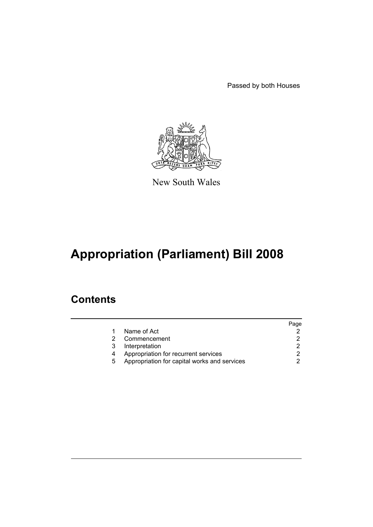Passed by both Houses



New South Wales

# **Appropriation (Parliament) Bill 2008**

### **Contents**

|   |                                              | Page |
|---|----------------------------------------------|------|
|   | Name of Act                                  |      |
|   | Commencement                                 |      |
| 3 | Interpretation                               |      |
|   | Appropriation for recurrent services         |      |
| 5 | Appropriation for capital works and services |      |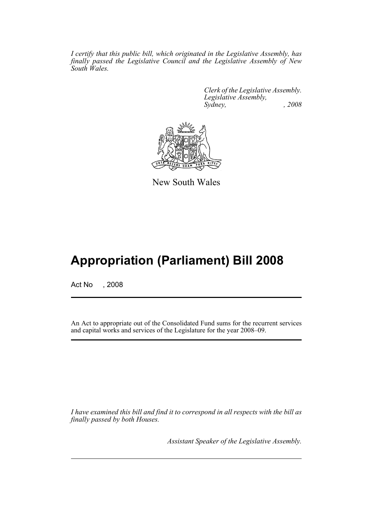*I certify that this public bill, which originated in the Legislative Assembly, has finally passed the Legislative Council and the Legislative Assembly of New South Wales.*

> *Clerk of the Legislative Assembly. Legislative Assembly, Sydney, , 2008*



New South Wales

## **Appropriation (Parliament) Bill 2008**

Act No , 2008

An Act to appropriate out of the Consolidated Fund sums for the recurrent services and capital works and services of the Legislature for the year 2008–09.

*I have examined this bill and find it to correspond in all respects with the bill as finally passed by both Houses.*

*Assistant Speaker of the Legislative Assembly.*